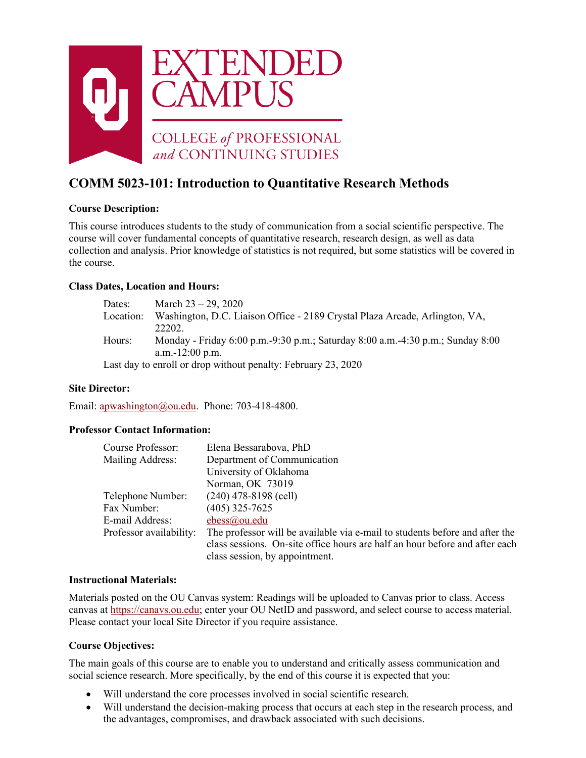

# **COMM 5023-101: Introduction to Quantitative Research Methods**

# **Course Description:**

This course introduces students to the study of communication from a social scientific perspective. The course will cover fundamental concepts of quantitative research, research design, as well as data collection and analysis. Prior knowledge of statistics is not required, but some statistics will be covered in the course.

### **Class Dates, Location and Hours:**

| Dates:    | March $23 - 29$ , 2020                                                         |
|-----------|--------------------------------------------------------------------------------|
| Location: | Washington, D.C. Liaison Office - 2189 Crystal Plaza Arcade, Arlington, VA,    |
|           | 22202.                                                                         |
| Hours:    | Monday - Friday 6:00 p.m.-9:30 p.m.; Saturday 8:00 a.m.-4:30 p.m.; Sunday 8:00 |
|           | a.m.-12:00 p.m.                                                                |
|           | Last day to enroll or drop without penalty: February 23, 2020                  |

### **Site Director:**

Email: [apwashington@ou.edu.](mailto:apwashington@ou.edu) Phone: 703-418-4800.

### **Professor Contact Information:**

| Course Professor:       | Elena Bessarabova, PhD                                                      |
|-------------------------|-----------------------------------------------------------------------------|
| Mailing Address:        | Department of Communication                                                 |
|                         | University of Oklahoma                                                      |
|                         | Norman, OK 73019                                                            |
| Telephone Number:       | $(240)$ 478-8198 (cell)                                                     |
| Fax Number:             | $(405)$ 325-7625                                                            |
| E-mail Address:         | ebess@ou.edu                                                                |
| Professor availability: | The professor will be available via e-mail to students before and after the |
|                         | class sessions. On-site office hours are half an hour before and after each |
|                         | class session, by appointment.                                              |

#### **Instructional Materials:**

Materials posted on the OU Canvas system: Readings will be uploaded to Canvas prior to class. Access canvas at [https://canavs.ou.edu;](http://learn.ou.edu/) enter your OU NetID and password, and select course to access material. Please contact your local Site Director if you require assistance.

### **Course Objectives:**

The main goals of this course are to enable you to understand and critically assess communication and social science research. More specifically, by the end of this course it is expected that you:

- Will understand the core processes involved in social scientific research.
- Will understand the decision-making process that occurs at each step in the research process, and the advantages, compromises, and drawback associated with such decisions.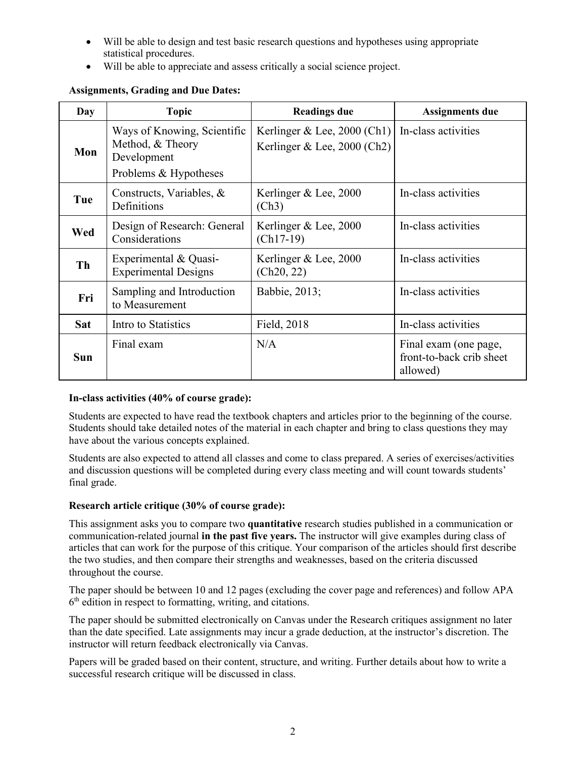- Will be able to design and test basic research questions and hypotheses using appropriate statistical procedures.
- Will be able to appreciate and assess critically a social science project.

| Day        | <b>Topic</b>                                                                            | <b>Readings due</b>                                            | <b>Assignments due</b>                                        |
|------------|-----------------------------------------------------------------------------------------|----------------------------------------------------------------|---------------------------------------------------------------|
| Mon        | Ways of Knowing, Scientific<br>Method, & Theory<br>Development<br>Problems & Hypotheses | Kerlinger & Lee, $2000$ (Ch1)<br>Kerlinger & Lee, $2000$ (Ch2) | In-class activities                                           |
| Tue        | Constructs, Variables, &<br>Definitions                                                 | Kerlinger & Lee, 2000<br>(Ch3)                                 | In-class activities                                           |
| Wed        | Design of Research: General<br>Considerations                                           | Kerlinger $&$ Lee, 2000<br>$(Ch17-19)$                         | In-class activities                                           |
| Th         | Experimental & Quasi-<br><b>Experimental Designs</b>                                    | Kerlinger & Lee, 2000<br>(Ch20, 22)                            | In-class activities                                           |
| Fri        | Sampling and Introduction<br>to Measurement                                             | Babbie, 2013;                                                  | In-class activities                                           |
| <b>Sat</b> | Intro to Statistics                                                                     | Field, 2018                                                    | In-class activities                                           |
| <b>Sun</b> | Final exam                                                                              | N/A                                                            | Final exam (one page,<br>front-to-back crib sheet<br>allowed) |

# **Assignments, Grading and Due Dates:**

# **In-class activities (40% of course grade):**

Students are expected to have read the textbook chapters and articles prior to the beginning of the course. Students should take detailed notes of the material in each chapter and bring to class questions they may have about the various concepts explained.

Students are also expected to attend all classes and come to class prepared. A series of exercises/activities and discussion questions will be completed during every class meeting and will count towards students' final grade.

### **Research article critique (30% of course grade):**

This assignment asks you to compare two **quantitative** research studies published in a communication or communication-related journal **in the past five years.** The instructor will give examples during class of articles that can work for the purpose of this critique. Your comparison of the articles should first describe the two studies, and then compare their strengths and weaknesses, based on the criteria discussed throughout the course.

The paper should be between 10 and 12 pages (excluding the cover page and references) and follow APA  $6<sup>th</sup>$  edition in respect to formatting, writing, and citations.

The paper should be submitted electronically on Canvas under the Research critiques assignment no later than the date specified. Late assignments may incur a grade deduction, at the instructor's discretion. The instructor will return feedback electronically via Canvas.

Papers will be graded based on their content, structure, and writing. Further details about how to write a successful research critique will be discussed in class.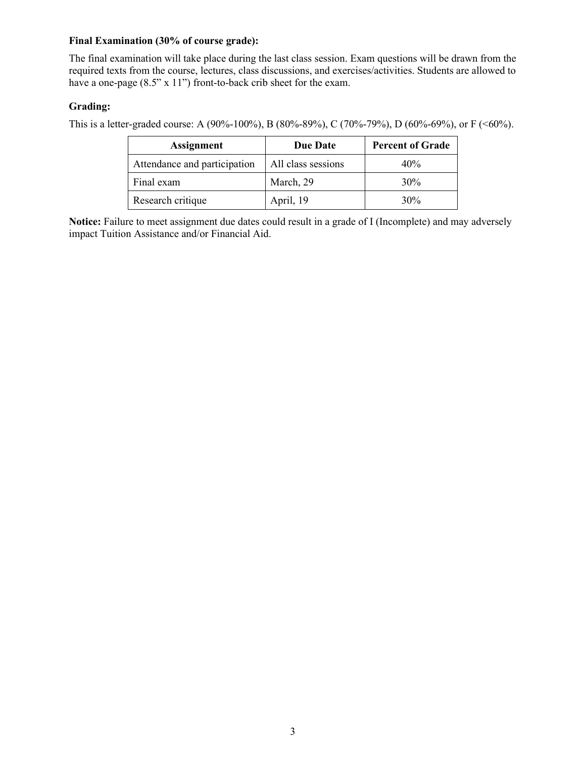### **Final Examination (30% of course grade):**

The final examination will take place during the last class session. Exam questions will be drawn from the required texts from the course, lectures, class discussions, and exercises/activities. Students are allowed to have a one-page (8.5" x 11") front-to-back crib sheet for the exam.

# **Grading:**

This is a letter-graded course: A (90%-100%), B (80%-89%), C (70%-79%), D (60%-69%), or F (<60%).

| <b>Assignment</b>            | <b>Due Date</b>    | <b>Percent of Grade</b> |
|------------------------------|--------------------|-------------------------|
| Attendance and participation | All class sessions | 40%                     |
| Final exam                   | March, 29          | 30%                     |
| Research critique            | April, 19          | 30%                     |

**Notice:** Failure to meet assignment due dates could result in a grade of I (Incomplete) and may adversely impact Tuition Assistance and/or Financial Aid.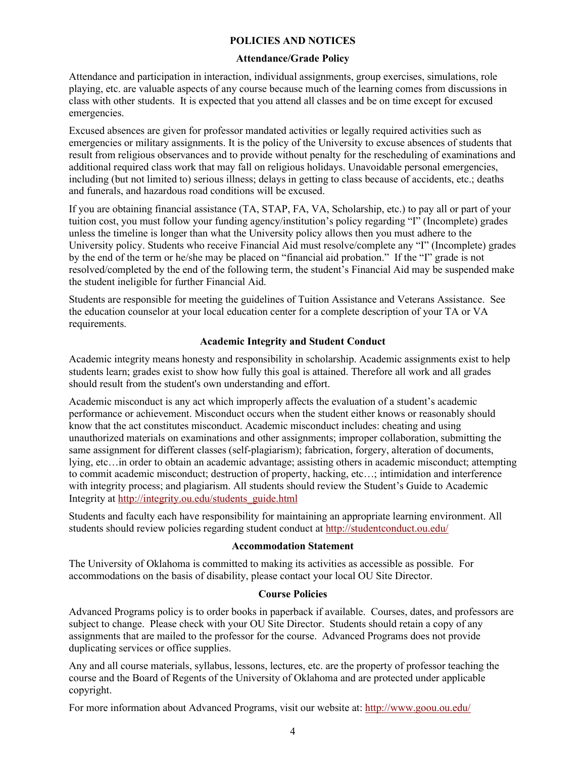### **POLICIES AND NOTICES**

#### **Attendance/Grade Policy**

Attendance and participation in interaction, individual assignments, group exercises, simulations, role playing, etc. are valuable aspects of any course because much of the learning comes from discussions in class with other students. It is expected that you attend all classes and be on time except for excused emergencies.

Excused absences are given for professor mandated activities or legally required activities such as emergencies or military assignments. It is the policy of the University to excuse absences of students that result from religious observances and to provide without penalty for the rescheduling of examinations and additional required class work that may fall on religious holidays. Unavoidable personal emergencies, including (but not limited to) serious illness; delays in getting to class because of accidents, etc.; deaths and funerals, and hazardous road conditions will be excused.

If you are obtaining financial assistance (TA, STAP, FA, VA, Scholarship, etc.) to pay all or part of your tuition cost, you must follow your funding agency/institution's policy regarding "I" (Incomplete) grades unless the timeline is longer than what the University policy allows then you must adhere to the University policy. Students who receive Financial Aid must resolve/complete any "I" (Incomplete) grades by the end of the term or he/she may be placed on "financial aid probation." If the "I" grade is not resolved/completed by the end of the following term, the student's Financial Aid may be suspended make the student ineligible for further Financial Aid.

Students are responsible for meeting the guidelines of Tuition Assistance and Veterans Assistance. See the education counselor at your local education center for a complete description of your TA or VA requirements.

### **Academic Integrity and Student Conduct**

Academic integrity means honesty and responsibility in scholarship. Academic assignments exist to help students learn; grades exist to show how fully this goal is attained. Therefore all work and all grades should result from the student's own understanding and effort.

Academic misconduct is any act which improperly affects the evaluation of a student's academic performance or achievement. Misconduct occurs when the student either knows or reasonably should know that the act constitutes misconduct. Academic misconduct includes: cheating and using unauthorized materials on examinations and other assignments; improper collaboration, submitting the same assignment for different classes (self-plagiarism); fabrication, forgery, alteration of documents, lying, etc…in order to obtain an academic advantage; assisting others in academic misconduct; attempting to commit academic misconduct; destruction of property, hacking, etc…; intimidation and interference with integrity process; and plagiarism. All students should review the Student's Guide to Academic Integrity at http://integrity.ou.edu/students\_guide.html

Students and faculty each have responsibility for maintaining an appropriate learning environment. All students should review policies regarding student conduct at<http://studentconduct.ou.edu/>

#### **Accommodation Statement**

The University of Oklahoma is committed to making its activities as accessible as possible. For accommodations on the basis of disability, please contact your local OU Site Director.

### **Course Policies**

Advanced Programs policy is to order books in paperback if available. Courses, dates, and professors are subject to change. Please check with your OU Site Director. Students should retain a copy of any assignments that are mailed to the professor for the course. Advanced Programs does not provide duplicating services or office supplies.

Any and all course materials, syllabus, lessons, lectures, etc. are the property of professor teaching the course and the Board of Regents of the University of Oklahoma and are protected under applicable copyright.

For more information about Advanced Programs, visit our website at:<http://www.goou.ou.edu/>